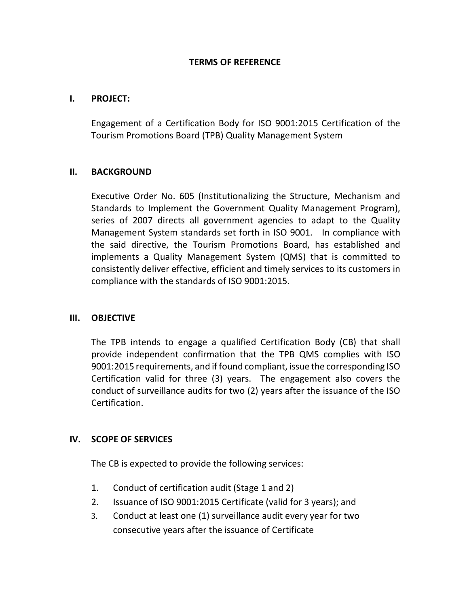### **TERMS OF REFERENCE**

# **I. PROJECT:**

Engagement of a Certification Body for ISO 9001:2015 Certification of the Tourism Promotions Board (TPB) Quality Management System

# **II. BACKGROUND**

Executive Order No. 605 (Institutionalizing the Structure, Mechanism and Standards to Implement the Government Quality Management Program), series of 2007 directs all government agencies to adapt to the Quality Management System standards set forth in ISO 9001. In compliance with the said directive, the Tourism Promotions Board, has established and implements a Quality Management System (QMS) that is committed to consistently deliver effective, efficient and timely services to its customers in compliance with the standards of ISO 9001:2015.

# **III. OBJECTIVE**

The TPB intends to engage a qualified Certification Body (CB) that shall provide independent confirmation that the TPB QMS complies with ISO 9001:2015 requirements, and if found compliant, issue the corresponding ISO Certification valid for three (3) years. The engagement also covers the conduct of surveillance audits for two (2) years after the issuance of the ISO Certification.

# **IV. SCOPE OF SERVICES**

The CB is expected to provide the following services:

- 1. Conduct of certification audit (Stage 1 and 2)
- 2. Issuance of ISO 9001:2015 Certificate (valid for 3 years); and
- 3. Conduct at least one (1) surveillance audit every year for two consecutive years after the issuance of Certificate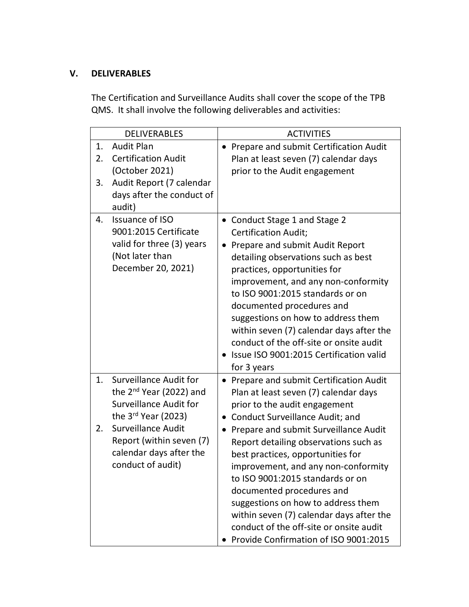# **V. DELIVERABLES**

The Certification and Surveillance Audits shall cover the scope of the TPB QMS. It shall involve the following deliverables and activities:

| <b>DELIVERABLES</b> |                               | <b>ACTIVITIES</b>                                   |  |
|---------------------|-------------------------------|-----------------------------------------------------|--|
| 1.                  | <b>Audit Plan</b>             | • Prepare and submit Certification Audit            |  |
| 2.                  | <b>Certification Audit</b>    | Plan at least seven (7) calendar days               |  |
|                     | (October 2021)                | prior to the Audit engagement                       |  |
| 3.                  | Audit Report (7 calendar      |                                                     |  |
|                     | days after the conduct of     |                                                     |  |
|                     | audit)                        |                                                     |  |
| 4.                  | <b>Issuance of ISO</b>        | • Conduct Stage 1 and Stage 2                       |  |
|                     | 9001:2015 Certificate         | <b>Certification Audit:</b>                         |  |
|                     | valid for three (3) years     | Prepare and submit Audit Report<br>$\bullet$        |  |
|                     | (Not later than               | detailing observations such as best                 |  |
|                     | December 20, 2021)            | practices, opportunities for                        |  |
|                     |                               | improvement, and any non-conformity                 |  |
|                     |                               | to ISO 9001:2015 standards or on                    |  |
|                     |                               | documented procedures and                           |  |
|                     |                               | suggestions on how to address them                  |  |
|                     |                               | within seven (7) calendar days after the            |  |
|                     |                               | conduct of the off-site or onsite audit             |  |
|                     |                               | • Issue ISO 9001:2015 Certification valid           |  |
|                     |                               | for 3 years                                         |  |
| 1.                  | <b>Surveillance Audit for</b> | • Prepare and submit Certification Audit            |  |
|                     | the $2nd$ Year (2022) and     | Plan at least seven (7) calendar days               |  |
|                     | <b>Surveillance Audit for</b> | prior to the audit engagement                       |  |
|                     | the $3^{rd}$ Year (2023)      | <b>Conduct Surveillance Audit; and</b><br>$\bullet$ |  |
| 2.                  | <b>Surveillance Audit</b>     | Prepare and submit Surveillance Audit<br>$\bullet$  |  |
|                     | Report (within seven (7)      | Report detailing observations such as               |  |
|                     | calendar days after the       | best practices, opportunities for                   |  |
|                     | conduct of audit)             | improvement, and any non-conformity                 |  |
|                     |                               | to ISO 9001:2015 standards or on                    |  |
|                     |                               | documented procedures and                           |  |
|                     |                               | suggestions on how to address them                  |  |
|                     |                               | within seven (7) calendar days after the            |  |
|                     |                               | conduct of the off-site or onsite audit             |  |
|                     |                               | Provide Confirmation of ISO 9001:2015               |  |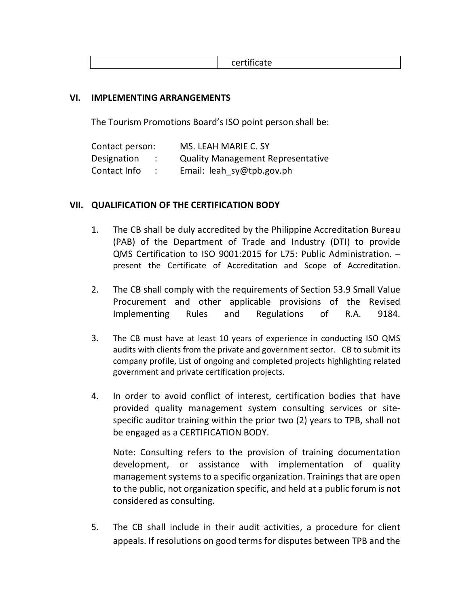certificate

### **VI. IMPLEMENTING ARRANGEMENTS**

The Tourism Promotions Board's ISO point person shall be:

| Contact person: |           | MS. LEAH MARIE C. SY                     |
|-----------------|-----------|------------------------------------------|
| Designation     | $\cdot$ : | <b>Quality Management Representative</b> |
| Contact Info    |           | Email: leah sy@tpb.gov.ph                |

### **VII. QUALIFICATION OF THE CERTIFICATION BODY**

- 1. The CB shall be duly accredited by the Philippine Accreditation Bureau (PAB) of the Department of Trade and Industry (DTI) to provide QMS Certification to ISO 9001:2015 for L75: Public Administration. – present the Certificate of Accreditation and Scope of Accreditation.
- 2. The CB shall comply with the requirements of Section 53.9 Small Value Procurement and other applicable provisions of the Revised Implementing Rules and Regulations of R.A. 9184.
- 3. The CB must have at least 10 years of experience in conducting ISO QMS audits with clients from the private and government sector. CB to submit its company profile, List of ongoing and completed projects highlighting related government and private certification projects.
- 4. In order to avoid conflict of interest, certification bodies that have provided quality management system consulting services or sitespecific auditor training within the prior two (2) years to TPB, shall not be engaged as a CERTIFICATION BODY.

Note: Consulting refers to the provision of training documentation development, or assistance with implementation of quality management systems to a specific organization. Trainings that are open to the public, not organization specific, and held at a public forum is not considered as consulting.

5. The CB shall include in their audit activities, a procedure for client appeals. If resolutions on good terms for disputes between TPB and the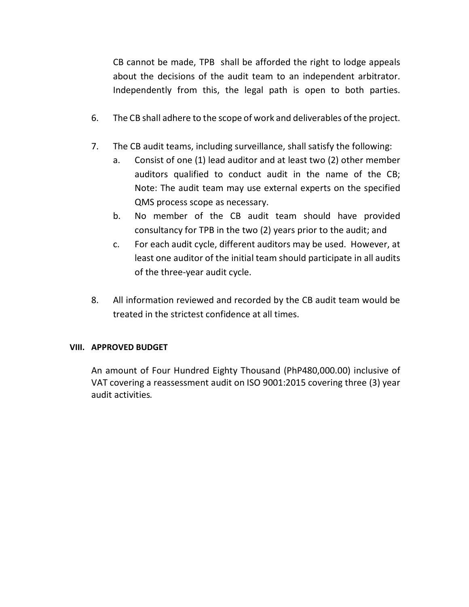CB cannot be made, TPB shall be afforded the right to lodge appeals about the decisions of the audit team to an independent arbitrator. Independently from this, the legal path is open to both parties.

- 6. The CB shall adhere to the scope of work and deliverables of the project.
- 7. The CB audit teams, including surveillance, shall satisfy the following:
	- a. Consist of one (1) lead auditor and at least two (2) other member auditors qualified to conduct audit in the name of the CB; Note: The audit team may use external experts on the specified QMS process scope as necessary.
	- b. No member of the CB audit team should have provided consultancy for TPB in the two (2) years prior to the audit; and
	- c. For each audit cycle, different auditors may be used. However, at least one auditor of the initial team should participate in all audits of the three-year audit cycle.
- 8. All information reviewed and recorded by the CB audit team would be treated in the strictest confidence at all times.

# **VIII. APPROVED BUDGET**

An amount of Four Hundred Eighty Thousand (PhP480,000.00) inclusive of VAT covering a reassessment audit on ISO 9001:2015 covering three (3) year audit activities.